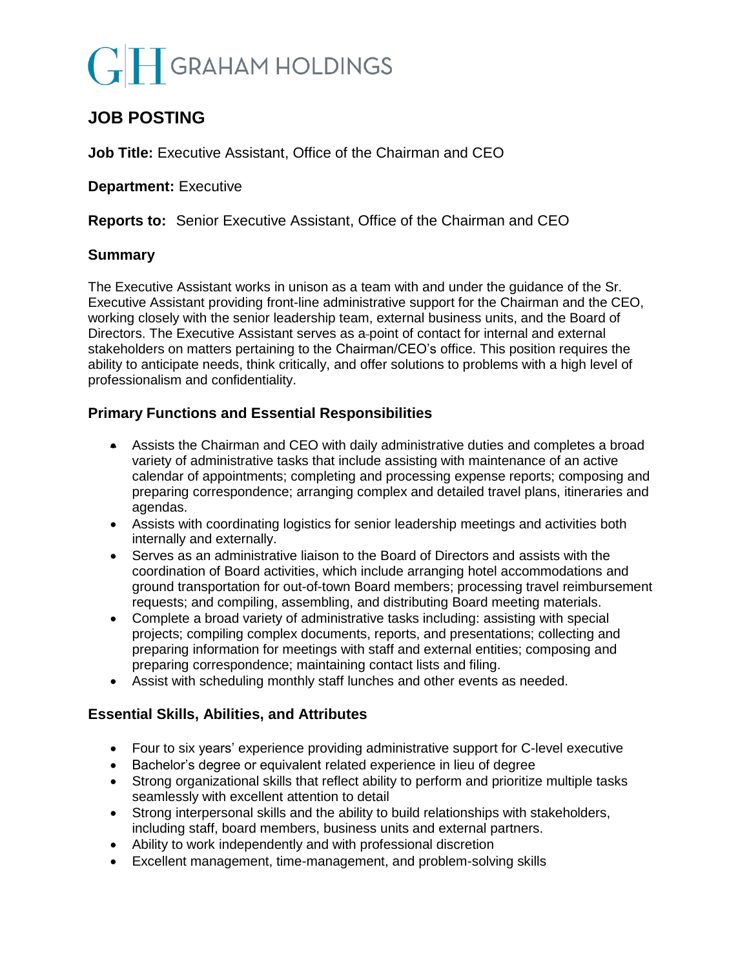# **GRAHAM HOLDINGS**

# **JOB POSTING**

**Job Title:** Executive Assistant, Office of the Chairman and CEO

**Department: Executive** 

**Reports to:** Senior Executive Assistant, Office of the Chairman and CEO

### **Summary**

The Executive Assistant works in unison as a team with and under the guidance of the Sr. Executive Assistant providing front-line administrative support for the Chairman and the CEO, working closely with the senior leadership team, external business units, and the Board of Directors. The Executive Assistant serves as a point of contact for internal and external stakeholders on matters pertaining to the Chairman/CEO's office. This position requires the ability to anticipate needs, think critically, and offer solutions to problems with a high level of professionalism and confidentiality.

## **Primary Functions and Essential Responsibilities**

- Assists the Chairman and CEO with daily administrative duties and completes a broad variety of administrative tasks that include assisting with maintenance of an active calendar of appointments; completing and processing expense reports; composing and preparing correspondence; arranging complex and detailed travel plans, itineraries and agendas.
- Assists with coordinating logistics for senior leadership meetings and activities both internally and externally.
- Serves as an administrative liaison to the Board of Directors and assists with the coordination of Board activities, which include arranging hotel accommodations and ground transportation for out-of-town Board members; processing travel reimbursement requests; and compiling, assembling, and distributing Board meeting materials.
- Complete a broad variety of administrative tasks including: assisting with special projects; compiling complex documents, reports, and presentations; collecting and preparing information for meetings with staff and external entities; composing and preparing correspondence; maintaining contact lists and filing.
- Assist with scheduling monthly staff lunches and other events as needed.

## **Essential Skills, Abilities, and Attributes**

- Four to six years' experience providing administrative support for C-level executive
- Bachelor's degree or equivalent related experience in lieu of degree
- Strong organizational skills that reflect ability to perform and prioritize multiple tasks seamlessly with excellent attention to detail
- Strong interpersonal skills and the ability to build relationships with stakeholders, including staff, board members, business units and external partners.
- Ability to work independently and with professional discretion
- Excellent management, time-management, and problem-solving skills